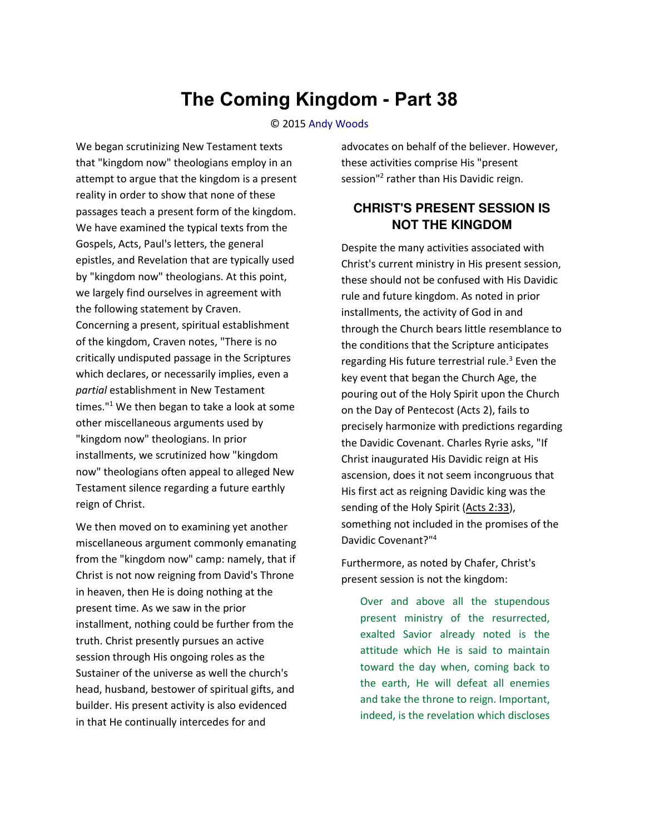# **The Coming Kingdom - Part 38**

#### © 2015 [Andy Woods](http://www.spiritandtruth.org/id/aw.htm)

We began scrutinizing New Testament texts that "kingdom now" theologians employ in an attempt to argue that the kingdom is a present reality in order to show that none of these passages teach a present form of the kingdom. We have examined the typical texts from the Gospels, Acts, Paul's letters, the general epistles, and Revelation that are typically used by "kingdom now" theologians. At this point, we largely find ourselves in agreement with the following statement by Craven. Concerning a present, spiritual establishment of the kingdom, Craven notes, "There is no critically undisputed passage in the Scriptures which declares, or necessarily implies, even a *partial* establishment in New Testament times."<sup>1</sup> We then began to take a look at some other miscellaneous arguments used by "kingdom now" theologians. In prior installments, we scrutinized how "kingdom now" theologians often appeal to alleged New Testament silence regarding a future earthly reign of Christ.

We then moved on to examining yet another miscellaneous argument commonly emanating from the "kingdom now" camp: namely, that if Christ is not now reigning from David's Throne in heaven, then He is doing nothing at the present time. As we saw in the prior installment, nothing could be further from the truth. Christ presently pursues an active session through His ongoing roles as the Sustainer of the universe as well the church's head, husband, bestower of spiritual gifts, and builder. His present activity is also evidenced in that He continually intercedes for and

advocates on behalf of the believer. However, these activities comprise His "present session"<sup>2</sup> rather than His Davidic reign.

#### **CHRIST'S PRESENT SESSION IS NOT THE KINGDOM**

Despite the many activities associated with Christ's current ministry in His present session, these should not be confused with His Davidic rule and future kingdom. As noted in prior installments, the activity of God in and through the Church bears little resemblance to the conditions that the Scripture anticipates regarding His future terrestrial rule.<sup>3</sup> Even the key event that began the Church Age, the pouring out of the Holy Spirit upon the Church on the Day of Pentecost (Acts 2), fails to precisely harmonize with predictions regarding the Davidic Covenant. Charles Ryrie asks, "If Christ inaugurated His Davidic reign at His ascension, does it not seem incongruous that His first act as reigning Davidic king was the sending of the Holy Spirit [\(Acts 2:33\)](http://biblia.com/bible/nasb95/Acts%202.33), something not included in the promises of the Davidic Covenant?"<sup>4</sup>

Furthermore, as noted by Chafer, Christ's present session is not the kingdom:

Over and above all the stupendous present ministry of the resurrected, exalted Savior already noted is the attitude which He is said to maintain toward the day when, coming back to the earth, He will defeat all enemies and take the throne to reign. Important, indeed, is the revelation which discloses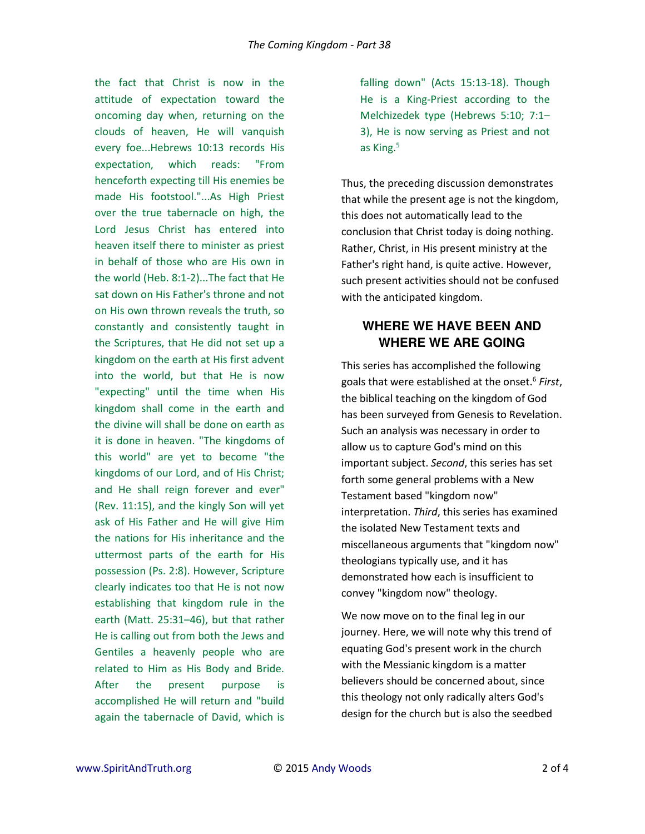the fact that Christ is now in the attitude of expectation toward the oncoming day when, returning on the clouds of heaven, He will vanquish every foe...Hebrews 10:13 records His expectation, which reads: "From henceforth expecting till His enemies be made His footstool."...As High Priest over the true tabernacle on high, the Lord Jesus Christ has entered into heaven itself there to minister as priest in behalf of those who are His own in the world (Heb. 8:1-2)...The fact that He sat down on His Father's throne and not on His own thrown reveals the truth, so constantly and consistently taught in the Scriptures, that He did not set up a kingdom on the earth at His first advent into the world, but that He is now "expecting" until the time when His kingdom shall come in the earth and the divine will shall be done on earth as it is done in heaven. "The kingdoms of this world" are yet to become "the kingdoms of our Lord, and of His Christ; and He shall reign forever and ever" (Rev. 11:15), and the kingly Son will yet ask of His Father and He will give Him the nations for His inheritance and the uttermost parts of the earth for His possession (Ps. 2:8). However, Scripture clearly indicates too that He is not now establishing that kingdom rule in the earth (Matt. 25:31–46), but that rather He is calling out from both the Jews and Gentiles a heavenly people who are related to Him as His Body and Bride. After the present purpose is accomplished He will return and "build again the tabernacle of David, which is

falling down" (Acts 15:13-18). Though He is a King-Priest according to the Melchizedek type (Hebrews 5:10; 7:1– 3), He is now serving as Priest and not as King.<sup>5</sup>

Thus, the preceding discussion demonstrates that while the present age is not the kingdom, this does not automatically lead to the conclusion that Christ today is doing nothing. Rather, Christ, in His present ministry at the Father's right hand, is quite active. However, such present activities should not be confused with the anticipated kingdom.

### **WHERE WE HAVE BEEN AND WHERE WE ARE GOING**

This series has accomplished the following goals that were established at the onset.<sup>6</sup> *First*, the biblical teaching on the kingdom of God has been surveyed from Genesis to Revelation. Such an analysis was necessary in order to allow us to capture God's mind on this important subject. *Second*, this series has set forth some general problems with a New Testament based "kingdom now" interpretation. *Third*, this series has examined the isolated New Testament texts and miscellaneous arguments that "kingdom now" theologians typically use, and it has demonstrated how each is insufficient to convey "kingdom now" theology.

We now move on to the final leg in our journey. Here, we will note why this trend of equating God's present work in the church with the Messianic kingdom is a matter believers should be concerned about, since this theology not only radically alters God's design for the church but is also the seedbed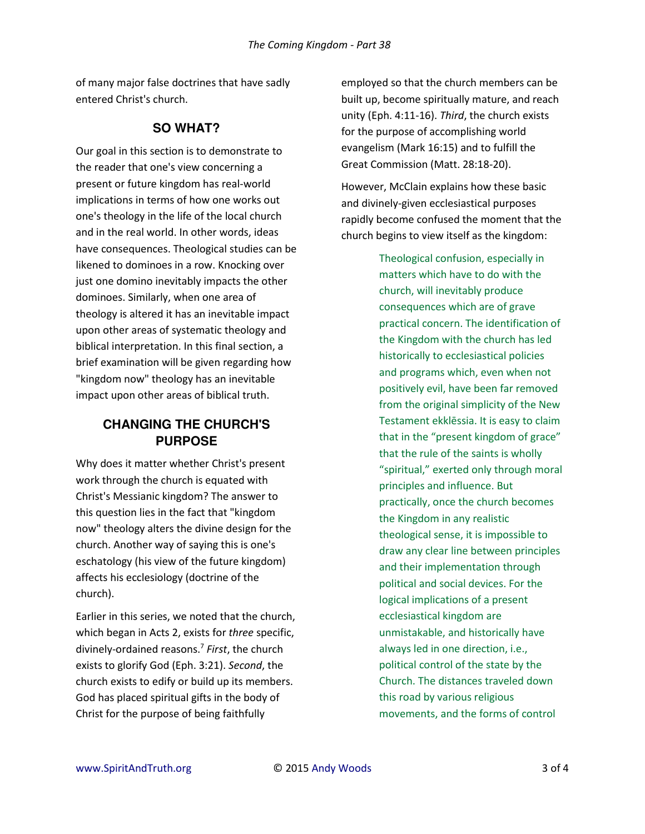of many major false doctrines that have sadly entered Christ's church.

#### **SO WHAT?**

Our goal in this section is to demonstrate to the reader that one's view concerning a present or future kingdom has real-world implications in terms of how one works out one's theology in the life of the local church and in the real world. In other words, ideas have consequences. Theological studies can be likened to dominoes in a row. Knocking over just one domino inevitably impacts the other dominoes. Similarly, when one area of theology is altered it has an inevitable impact upon other areas of systematic theology and biblical interpretation. In this final section, a brief examination will be given regarding how "kingdom now" theology has an inevitable impact upon other areas of biblical truth.

## **CHANGING THE CHURCH'S PURPOSE**

Why does it matter whether Christ's present work through the church is equated with Christ's Messianic kingdom? The answer to this question lies in the fact that "kingdom now" theology alters the divine design for the church. Another way of saying this is one's eschatology (his view of the future kingdom) affects his ecclesiology (doctrine of the church).

Earlier in this series, we noted that the church, which began in Acts 2, exists for *three* specific, divinely-ordained reasons.<sup>7</sup> *First*, the church exists to glorify God (Eph. 3:21). *Second*, the church exists to edify or build up its members. God has placed spiritual gifts in the body of Christ for the purpose of being faithfully

employed so that the church members can be built up, become spiritually mature, and reach unity (Eph. 4:11-16). *Third*, the church exists for the purpose of accomplishing world evangelism (Mark 16:15) and to fulfill the Great Commission (Matt. 28:18-20).

However, McClain explains how these basic and divinely-given ecclesiastical purposes rapidly become confused the moment that the church begins to view itself as the kingdom:

> Theological confusion, especially in matters which have to do with the church, will inevitably produce consequences which are of grave practical concern. The identification of the Kingdom with the church has led historically to ecclesiastical policies and programs which, even when not positively evil, have been far removed from the original simplicity of the New Testament ekklēssia. It is easy to claim that in the "present kingdom of grace" that the rule of the saints is wholly "spiritual," exerted only through moral principles and influence. But practically, once the church becomes the Kingdom in any realistic theological sense, it is impossible to draw any clear line between principles and their implementation through political and social devices. For the logical implications of a present ecclesiastical kingdom are unmistakable, and historically have always led in one direction, i.e., political control of the state by the Church. The distances traveled down this road by various religious movements, and the forms of control